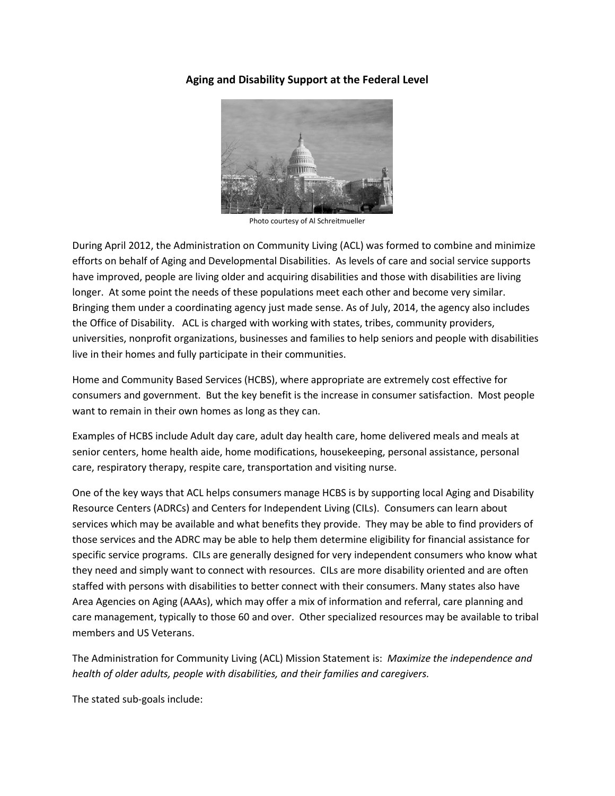## **Aging and Disability Support at the Federal Level**



Photo courtesy of Al Schreitmueller

During April 2012, the Administration on Community Living (ACL) was formed to combine and minimize efforts on behalf of Aging and Developmental Disabilities. As levels of care and social service supports have improved, people are living older and acquiring disabilities and those with disabilities are living longer. At some point the needs of these populations meet each other and become very similar. Bringing them under a coordinating agency just made sense. As of July, 2014, the agency also includes the Office of Disability. ACL is charged with working with states, tribes, community providers, universities, nonprofit organizations, businesses and families to help seniors and people with disabilities live in their homes and fully participate in their communities.

Home and Community Based Services (HCBS), where appropriate are extremely cost effective for consumers and government. But the key benefit is the increase in consumer satisfaction. Most people want to remain in their own homes as long as they can.

Examples of HCBS include Adult day care, adult day health care, home delivered meals and meals at senior centers, home health aide, home modifications, housekeeping, personal assistance, personal care, respiratory therapy, respite care, transportation and visiting nurse.

One of the key ways that ACL helps consumers manage HCBS is by supporting local Aging and Disability Resource Centers (ADRCs) and Centers for Independent Living (CILs). Consumers can learn about services which may be available and what benefits they provide. They may be able to find providers of those services and the ADRC may be able to help them determine eligibility for financial assistance for specific service programs. CILs are generally designed for very independent consumers who know what they need and simply want to connect with resources. CILs are more disability oriented and are often staffed with persons with disabilities to better connect with their consumers. Many states also have Area Agencies on Aging (AAAs), which may offer a mix of information and referral, care planning and care management, typically to those 60 and over. Other specialized resources may be available to tribal members and US Veterans.

The Administration for Community Living (ACL) Mission Statement is: *Maximize the independence and health of older adults, people with disabilities, and their families and caregivers.*

The stated sub-goals include: